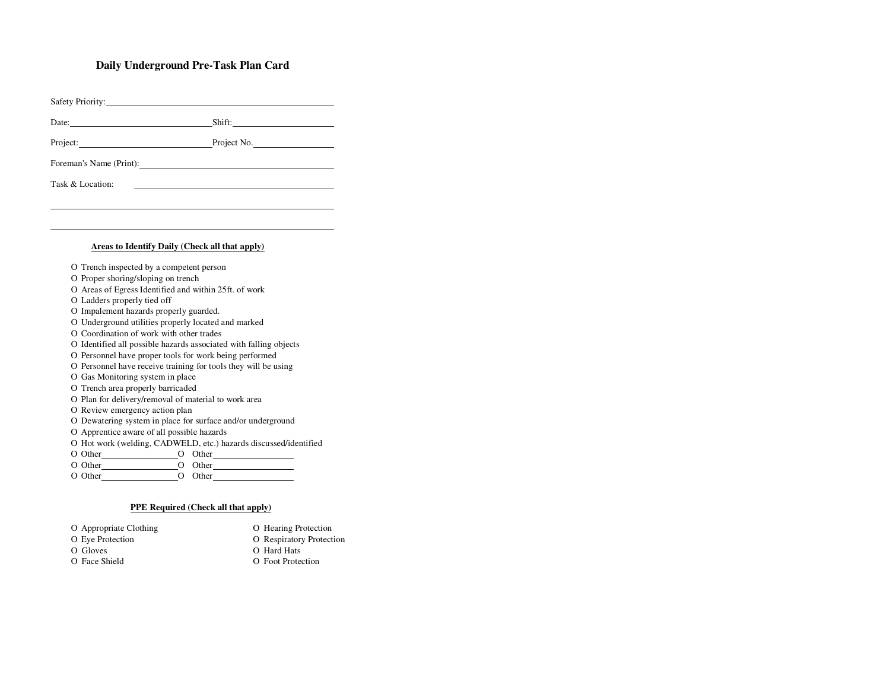## **Daily Underground Pre-Task Plan Card**

|                                                                   | Date: Shift: Shift:                                                                                                                                                                                                            |  |  |  |
|-------------------------------------------------------------------|--------------------------------------------------------------------------------------------------------------------------------------------------------------------------------------------------------------------------------|--|--|--|
|                                                                   | Project: Project No.                                                                                                                                                                                                           |  |  |  |
|                                                                   | Foreman's Name (Print):                                                                                                                                                                                                        |  |  |  |
| Task & Location:                                                  |                                                                                                                                                                                                                                |  |  |  |
|                                                                   |                                                                                                                                                                                                                                |  |  |  |
|                                                                   |                                                                                                                                                                                                                                |  |  |  |
|                                                                   |                                                                                                                                                                                                                                |  |  |  |
|                                                                   | Areas to Identify Daily (Check all that apply)                                                                                                                                                                                 |  |  |  |
|                                                                   | O Trench inspected by a competent person                                                                                                                                                                                       |  |  |  |
| O Proper shoring/sloping on trench                                |                                                                                                                                                                                                                                |  |  |  |
|                                                                   | O Areas of Egress Identified and within 25ft. of work                                                                                                                                                                          |  |  |  |
| O Ladders properly tied off                                       |                                                                                                                                                                                                                                |  |  |  |
| O Impalement hazards properly guarded.                            |                                                                                                                                                                                                                                |  |  |  |
| O Underground utilities properly located and marked               |                                                                                                                                                                                                                                |  |  |  |
| O Coordination of work with other trades                          |                                                                                                                                                                                                                                |  |  |  |
| O Identified all possible hazards associated with falling objects |                                                                                                                                                                                                                                |  |  |  |
| O Personnel have proper tools for work being performed            |                                                                                                                                                                                                                                |  |  |  |
| O Personnel have receive training for tools they will be using    |                                                                                                                                                                                                                                |  |  |  |
| O Gas Monitoring system in place                                  |                                                                                                                                                                                                                                |  |  |  |
| O Trench area properly barricaded                                 |                                                                                                                                                                                                                                |  |  |  |
| O Plan for delivery/removal of material to work area              |                                                                                                                                                                                                                                |  |  |  |
| O Review emergency action plan                                    |                                                                                                                                                                                                                                |  |  |  |
|                                                                   | O Dewatering system in place for surface and/or underground                                                                                                                                                                    |  |  |  |
|                                                                   | O Apprentice aware of all possible hazards                                                                                                                                                                                     |  |  |  |
|                                                                   | O Hot work (welding, CADWELD, etc.) hazards discussed/identified                                                                                                                                                               |  |  |  |
|                                                                   | O Other O Other CO Other CO Other CO Other CO Other CO Other CO Other CO Other CO Other CO Other CO Other CO Other CO Other CO Other CO Other CO Other CO Other CO Other CO Other CO Other CO Other CO Other CO Other CO Other |  |  |  |
| $\bigcap$ $\bigcap_{k\geq 0}$                                     | $\bigcap_{\alpha \in \mathbb{N}} \bigcap_{\alpha \in \mathbb{N}}$                                                                                                                                                              |  |  |  |

Ο Other Ο Other Ο Other Ο Other

## **PPE Required (Check all that apply)**

| O Appropriate Clothing | O Hearing Protection     |
|------------------------|--------------------------|
| O Eye Protection       | O Respiratory Protection |
| O Gloves               | O Hard Hats              |
| O Face Shield          | O Foot Protection        |